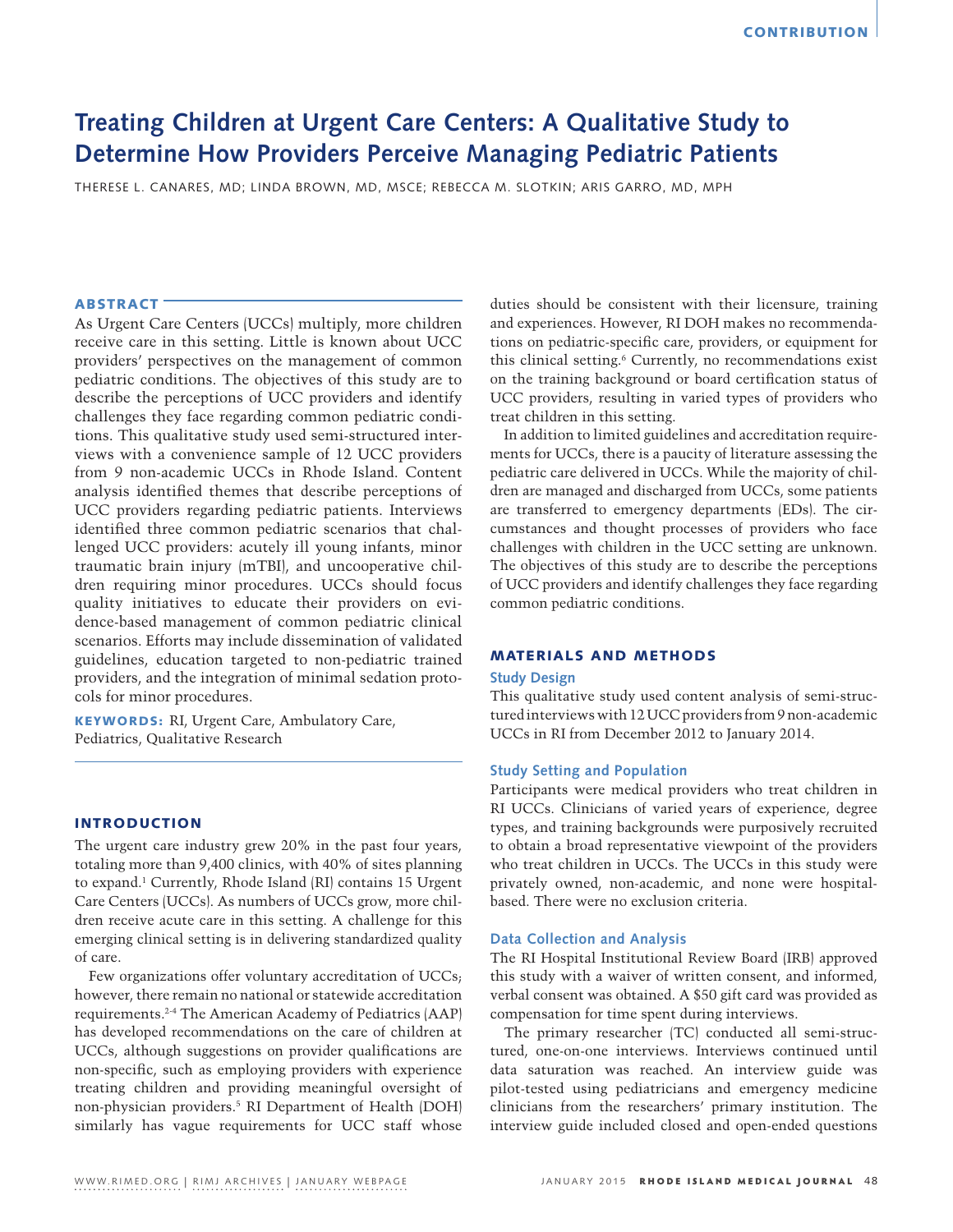# **Treating Children at Urgent Care Centers: A Qualitative Study to Determine How Providers Perceive Managing Pediatric Patients**

THERESE L. CANARES, MD; LINDA BROWN, MD, MSCE; REBECCA M. SLOTKIN; ARIS GARRO, MD, MPH

# ABSTRACT

As Urgent Care Centers (UCCs) multiply, more children receive care in this setting. Little is known about UCC providers' perspectives on the management of common pediatric conditions. The objectives of this study are to describe the perceptions of UCC providers and identify challenges they face regarding common pediatric conditions. This qualitative study used semi-structured interviews with a convenience sample of 12 UCC providers from 9 non-academic UCCs in Rhode Island. Content analysis identified themes that describe perceptions of UCC providers regarding pediatric patients. Interviews identified three common pediatric scenarios that challenged UCC providers: acutely ill young infants, minor traumatic brain injury (mTBI), and uncooperative children requiring minor procedures. UCCs should focus quality initiatives to educate their providers on evidence-based management of common pediatric clinical scenarios. Efforts may include dissemination of validated guidelines, education targeted to non-pediatric trained providers, and the integration of minimal sedation protocols for minor procedures.

KEYWORDS: RI, Urgent Care, Ambulatory Care, Pediatrics, Qualitative Research

# INTRODUCTION

The urgent care industry grew 20% in the past four years, totaling more than 9,400 clinics, with 40% of sites planning to expand.1 Currently, Rhode Island (RI) contains 15 Urgent Care Centers (UCCs). As numbers of UCCs grow, more children receive acute care in this setting. A challenge for this emerging clinical setting is in delivering standardized quality of care.

Few organizations offer voluntary accreditation of UCCs; however, there remain no national or statewide accreditation requirements.2-4 The American Academy of Pediatrics (AAP) has developed recommendations on the care of children at UCCs, although suggestions on provider qualifications are non-specific, such as employing providers with experience treating children and providing meaningful oversight of non-physician providers.5 RI Department of Health (DOH) similarly has vague requirements for UCC staff whose

duties should be consistent with their licensure, training and experiences. However, RI DOH makes no recommendations on pediatric-specific care, providers, or equipment for this clinical setting.6 Currently, no recommendations exist on the training background or board certification status of UCC providers, resulting in varied types of providers who treat children in this setting.

In addition to limited guidelines and accreditation requirements for UCCs, there is a paucity of literature assessing the pediatric care delivered in UCCs. While the majority of children are managed and discharged from UCCs, some patients are transferred to emergency departments (EDs). The circumstances and thought processes of providers who face challenges with children in the UCC setting are unknown. The objectives of this study are to describe the perceptions of UCC providers and identify challenges they face regarding common pediatric conditions.

### MATERIALS AND METHODS

### **Study Design**

This qualitative study used content analysis of semi-structured interviews with 12 UCC providers from 9 non-academic UCCs in RI from December 2012 to January 2014.

# **Study Setting and Population**

Participants were medical providers who treat children in RI UCCs. Clinicians of varied years of experience, degree types, and training backgrounds were purposively recruited to obtain a broad representative viewpoint of the providers who treat children in UCCs. The UCCs in this study were privately owned, non-academic, and none were hospitalbased. There were no exclusion criteria.

#### **Data Collection and Analysis**

The RI Hospital Institutional Review Board (IRB) approved this study with a waiver of written consent, and informed, verbal consent was obtained. A \$50 gift card was provided as compensation for time spent during interviews.

The primary researcher (TC) conducted all semi-structured, one-on-one interviews. Interviews continued until data saturation was reached. An interview guide was pilot-tested using pediatricians and emergency medicine clinicians from the researchers' primary institution. The interview guide included closed and open-ended questions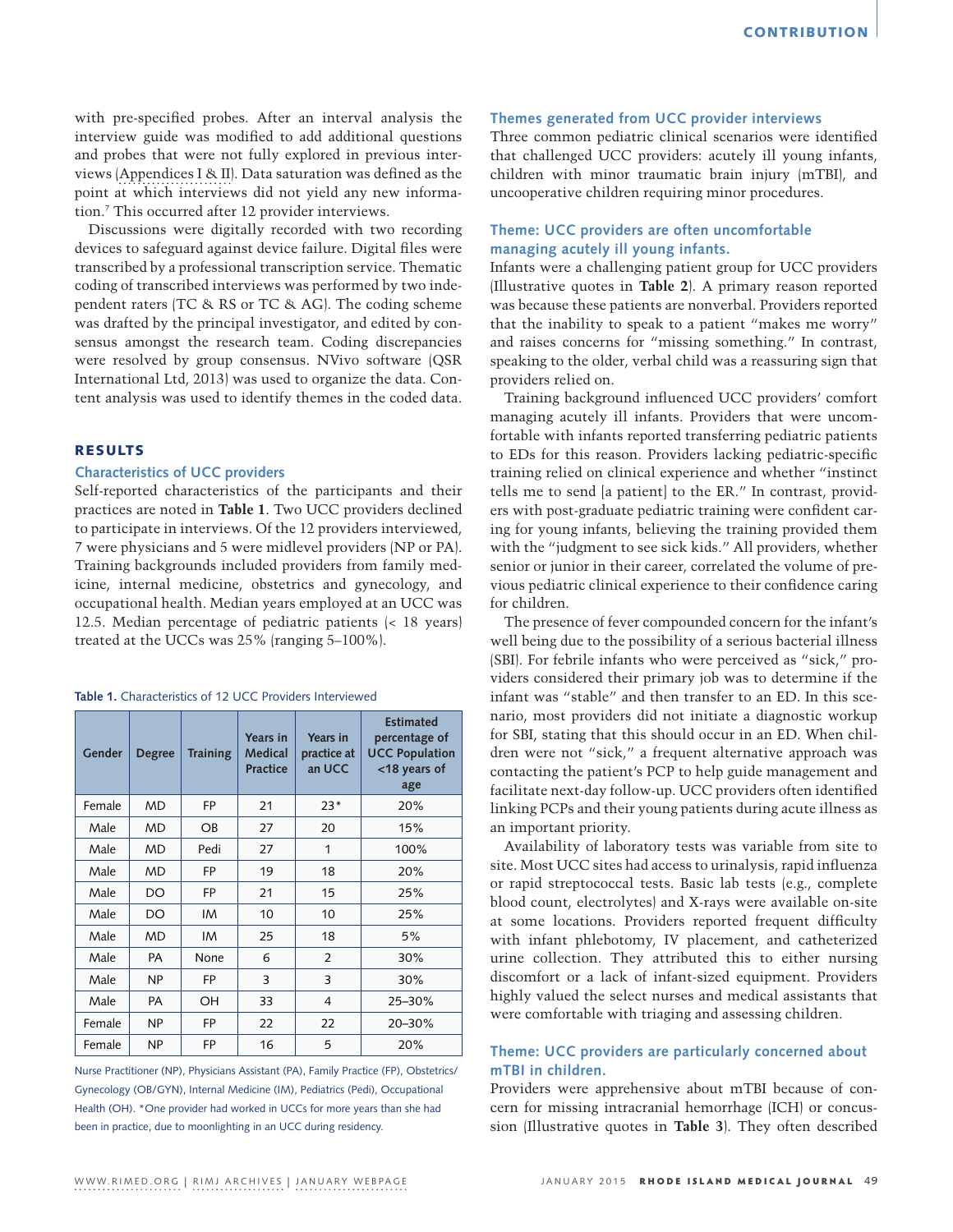with pre-specified probes. After an interval analysis the interview guide was modified to add additional questions and probes that were not fully explored in previous interviews ([Appendices I & II](http://www.rimed.org/rimedicaljournal/2015/01/Appendices-I%26II.pdf)). Data saturation was defined as the point at which interviews did not yield any new information.7 This occurred after 12 provider interviews.

Discussions were digitally recorded with two recording devices to safeguard against device failure. Digital files were transcribed by a professional transcription service. Thematic coding of transcribed interviews was performed by two independent raters (TC & RS or TC & AG). The coding scheme was drafted by the principal investigator, and edited by consensus amongst the research team. Coding discrepancies were resolved by group consensus. NVivo software (QSR International Ltd, 2013) was used to organize the data. Content analysis was used to identify themes in the coded data.

## RESULTS

## **Characteristics of UCC providers**

Self-reported characteristics of the participants and their practices are noted in **Table 1**. Two UCC providers declined to participate in interviews. Of the 12 providers interviewed, 7 were physicians and 5 were midlevel providers (NP or PA). Training backgrounds included providers from family medicine, internal medicine, obstetrics and gynecology, and occupational health. Median years employed at an UCC was 12.5. Median percentage of pediatric patients (< 18 years) treated at the UCCs was 25% (ranging 5–100%).

| <b>Table 1.</b> Characteristics of 12 UCC Providers Interviewed |  |  |  |
|-----------------------------------------------------------------|--|--|--|
|-----------------------------------------------------------------|--|--|--|

| Gender | <b>Degree</b> | <b>Training</b> | Years in<br>Medical<br><b>Practice</b> | Years in<br>practice at<br>an UCC | <b>Estimated</b><br>percentage of<br><b>UCC Population</b><br><18 years of<br>age |
|--------|---------------|-----------------|----------------------------------------|-----------------------------------|-----------------------------------------------------------------------------------|
| Female | <b>MD</b>     | <b>FP</b>       | 21                                     | $23*$                             | 20%                                                                               |
| Male   | <b>MD</b>     | <b>OB</b>       | 27                                     | 20                                | 15%                                                                               |
| Male   | <b>MD</b>     | Pedi            | 27                                     | 1                                 | 100%                                                                              |
| Male   | MD            | FP              | 19                                     | 18                                | 20%                                                                               |
| Male   | DO            | FP              | 21                                     | 15                                | 25%                                                                               |
| Male   | DO            | IM              | 10                                     | 10                                | 25%                                                                               |
| Male   | MD            | IM              | 25                                     | 18                                | 5%                                                                                |
| Male   | <b>PA</b>     | None            | 6                                      | 2                                 | 30%                                                                               |
| Male   | <b>NP</b>     | FP              | 3                                      | 3                                 | 30%                                                                               |
| Male   | PA            | OH              | 33                                     | $\overline{4}$                    | 25-30%                                                                            |
| Female | <b>NP</b>     | <b>FP</b>       | 22                                     | 22                                | 20-30%                                                                            |
| Female | <b>NP</b>     | FP              | 16                                     | 5                                 | 20%                                                                               |

Nurse Practitioner (NP), Physicians Assistant (PA), Family Practice (FP), Obstetrics/ Gynecology (OB/GYN), Internal Medicine (IM), Pediatrics (Pedi), Occupational Health (OH). \*One provider had worked in UCCs for more years than she had been in practice, due to moonlighting in an UCC during residency.

### **Themes generated from UCC provider interviews**

Three common pediatric clinical scenarios were identified that challenged UCC providers: acutely ill young infants, children with minor traumatic brain injury (mTBI), and uncooperative children requiring minor procedures.

# **Theme: UCC providers are often uncomfortable managing acutely ill young infants.**

Infants were a challenging patient group for UCC providers (Illustrative quotes in **Table 2**). A primary reason reported was because these patients are nonverbal. Providers reported that the inability to speak to a patient "makes me worry" and raises concerns for "missing something." In contrast, speaking to the older, verbal child was a reassuring sign that providers relied on.

Training background influenced UCC providers' comfort managing acutely ill infants. Providers that were uncomfortable with infants reported transferring pediatric patients to EDs for this reason. Providers lacking pediatric-specific training relied on clinical experience and whether "instinct tells me to send [a patient] to the ER." In contrast, providers with post-graduate pediatric training were confident caring for young infants, believing the training provided them with the "judgment to see sick kids." All providers, whether senior or junior in their career, correlated the volume of previous pediatric clinical experience to their confidence caring for children.

The presence of fever compounded concern for the infant's well being due to the possibility of a serious bacterial illness (SBI). For febrile infants who were perceived as "sick," providers considered their primary job was to determine if the infant was "stable" and then transfer to an ED. In this scenario, most providers did not initiate a diagnostic workup for SBI, stating that this should occur in an ED. When children were not "sick," a frequent alternative approach was contacting the patient's PCP to help guide management and facilitate next-day follow-up. UCC providers often identified linking PCPs and their young patients during acute illness as an important priority.

Availability of laboratory tests was variable from site to site. Most UCC sites had access to urinalysis, rapid influenza or rapid streptococcal tests. Basic lab tests (e.g., complete blood count, electrolytes) and X-rays were available on-site at some locations. Providers reported frequent difficulty with infant phlebotomy, IV placement, and catheterized urine collection. They attributed this to either nursing discomfort or a lack of infant-sized equipment. Providers highly valued the select nurses and medical assistants that were comfortable with triaging and assessing children.

# **Theme: UCC providers are particularly concerned about mTBI in children.**

Providers were apprehensive about mTBI because of concern for missing intracranial hemorrhage (ICH) or concussion (Illustrative quotes in **Table 3**). They often described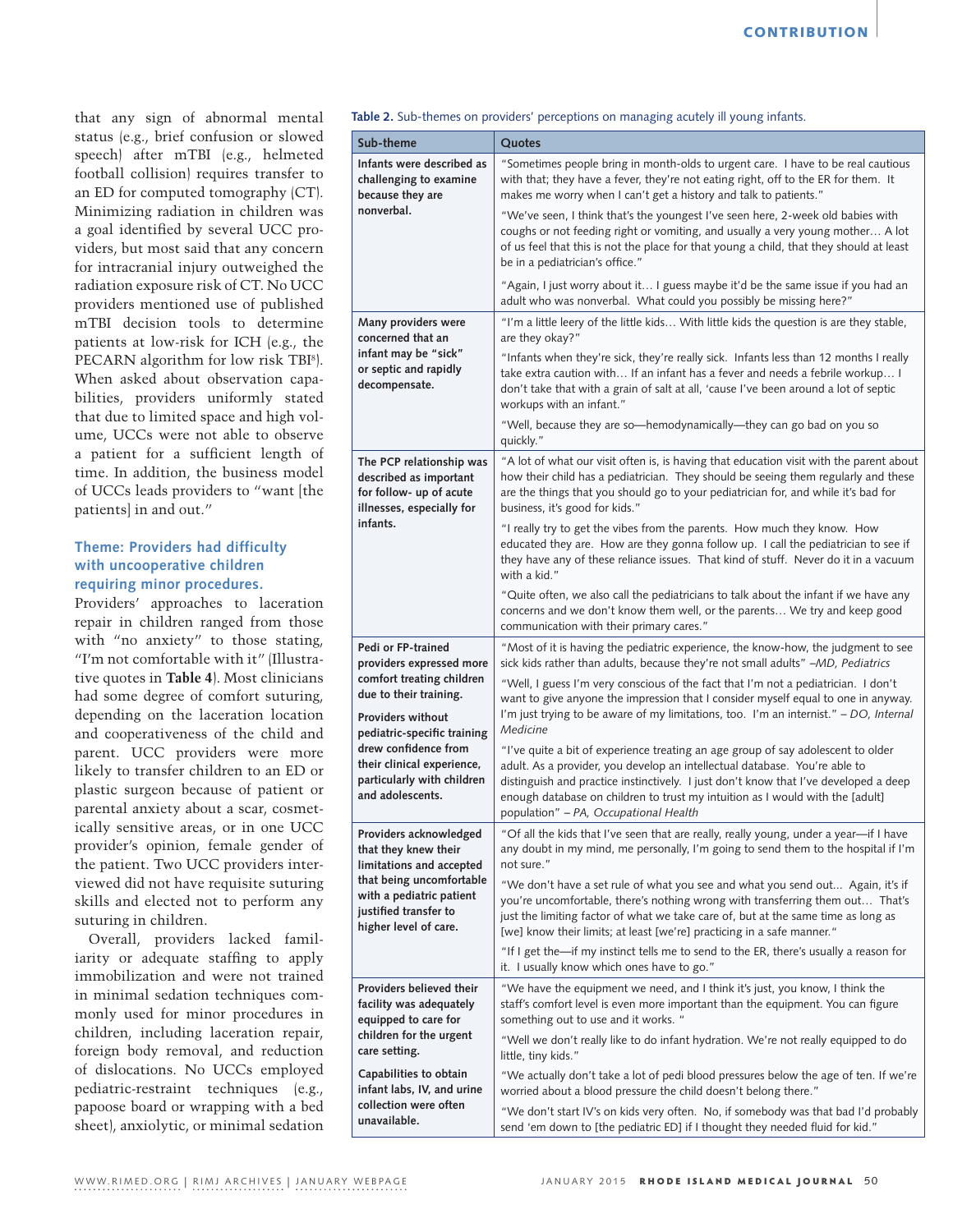that any sign of abnormal mental status (e.g., brief confusion or slowed speech) after mTBI (e.g., helmeted football collision) requires transfer to an ED for computed tomography (CT). Minimizing radiation in children was a goal identified by several UCC providers, but most said that any concern for intracranial injury outweighed the radiation exposure risk of CT. No UCC providers mentioned use of published mTBI decision tools to determine patients at low-risk for ICH (e.g., the PECARN algorithm for low risk TBI8 ). When asked about observation capabilities, providers uniformly stated that due to limited space and high volume, UCCs were not able to observe a patient for a sufficient length of time. In addition, the business model of UCCs leads providers to "want [the patients] in and out."

# **Theme: Providers had difficulty with uncooperative children requiring minor procedures.**

Providers' approaches to laceration repair in children ranged from those with "no anxiety" to those stating, "I'm not comfortable with it" (Illustrative quotes in **Table 4**). Most clinicians had some degree of comfort suturing, depending on the laceration location and cooperativeness of the child and parent. UCC providers were more likely to transfer children to an ED or plastic surgeon because of patient or parental anxiety about a scar, cosmetically sensitive areas, or in one UCC provider's opinion, female gender of the patient. Two UCC providers interviewed did not have requisite suturing skills and elected not to perform any suturing in children.

Overall, providers lacked familiarity or adequate staffing to apply immobilization and were not trained in minimal sedation techniques commonly used for minor procedures in children, including laceration repair, foreign body removal, and reduction of dislocations. No UCCs employed pediatric-restraint techniques (e.g., papoose board or wrapping with a bed sheet), anxiolytic, or minimal sedation

**Table 2.** Sub-themes on providers' perceptions on managing acutely ill young infants.

| Sub-theme                                                                                                                                                                                                                                                                | Quotes                                                                                                                                                                                                                                                                                                                                                                           |
|--------------------------------------------------------------------------------------------------------------------------------------------------------------------------------------------------------------------------------------------------------------------------|----------------------------------------------------------------------------------------------------------------------------------------------------------------------------------------------------------------------------------------------------------------------------------------------------------------------------------------------------------------------------------|
| Infants were described as<br>challenging to examine<br>because they are                                                                                                                                                                                                  | "Sometimes people bring in month-olds to urgent care. I have to be real cautious<br>with that; they have a fever, they're not eating right, off to the ER for them. It<br>makes me worry when I can't get a history and talk to patients."                                                                                                                                       |
| nonverbal.                                                                                                                                                                                                                                                               | "We've seen, I think that's the youngest I've seen here, 2-week old babies with<br>coughs or not feeding right or vomiting, and usually a very young mother A lot<br>of us feel that this is not the place for that young a child, that they should at least<br>be in a pediatrician's office."                                                                                  |
|                                                                                                                                                                                                                                                                          | "Again, I just worry about it I guess maybe it'd be the same issue if you had an<br>adult who was nonverbal. What could you possibly be missing here?"                                                                                                                                                                                                                           |
| Many providers were<br>concerned that an                                                                                                                                                                                                                                 | "I'm a little leery of the little kids With little kids the question is are they stable,<br>are they okay?"                                                                                                                                                                                                                                                                      |
| infant may be "sick"<br>or septic and rapidly<br>decompensate.                                                                                                                                                                                                           | "Infants when they're sick, they're really sick. Infants less than 12 months I really<br>take extra caution with If an infant has a fever and needs a febrile workup I<br>don't take that with a grain of salt at all, 'cause I've been around a lot of septic<br>workups with an infant."                                                                                       |
|                                                                                                                                                                                                                                                                          | "Well, because they are so-hemodynamically-they can go bad on you so<br>quickly."                                                                                                                                                                                                                                                                                                |
| The PCP relationship was<br>described as important<br>for follow- up of acute<br>illnesses, especially for<br>infants.                                                                                                                                                   | "A lot of what our visit often is, is having that education visit with the parent about<br>how their child has a pediatrician. They should be seeing them regularly and these<br>are the things that you should go to your pediatrician for, and while it's bad for<br>business, it's good for kids."                                                                            |
|                                                                                                                                                                                                                                                                          | "I really try to get the vibes from the parents. How much they know. How<br>educated they are. How are they gonna follow up. I call the pediatrician to see if<br>they have any of these reliance issues. That kind of stuff. Never do it in a vacuum<br>with a kid."                                                                                                            |
|                                                                                                                                                                                                                                                                          | "Quite often, we also call the pediatricians to talk about the infant if we have any<br>concerns and we don't know them well, or the parents We try and keep good<br>communication with their primary cares."                                                                                                                                                                    |
| Pedi or FP-trained<br>providers expressed more<br>comfort treating children<br>due to their training.<br><b>Providers without</b><br>pediatric-specific training<br>drew confidence from<br>their clinical experience,<br>particularly with children<br>and adolescents. | "Most of it is having the pediatric experience, the know-how, the judgment to see<br>sick kids rather than adults, because they're not small adults" -MD, Pediatrics                                                                                                                                                                                                             |
|                                                                                                                                                                                                                                                                          | "Well, I guess I'm very conscious of the fact that I'm not a pediatrician. I don't<br>want to give anyone the impression that I consider myself equal to one in anyway.<br>I'm just trying to be aware of my limitations, too. I'm an internist." - DO, Internal<br>Medicine                                                                                                     |
|                                                                                                                                                                                                                                                                          | "I've quite a bit of experience treating an age group of say adolescent to older<br>adult. As a provider, you develop an intellectual database. You're able to<br>distinguish and practice instinctively. I just don't know that I've developed a deep<br>enough database on children to trust my intuition as I would with the [adult]<br>population" - PA, Occupational Health |
| Providers acknowledged<br>that they knew their<br>limitations and accepted<br>that being uncomfortable<br>with a pediatric patient<br>justified transfer to<br>higher level of care.                                                                                     | "Of all the kids that I've seen that are really, really young, under a year-if I have<br>any doubt in my mind, me personally, I'm going to send them to the hospital if I'm<br>not sure."                                                                                                                                                                                        |
|                                                                                                                                                                                                                                                                          | "We don't have a set rule of what you see and what you send out Again, it's if<br>you're uncomfortable, there's nothing wrong with transferring them out That's<br>just the limiting factor of what we take care of, but at the same time as long as<br>[we] know their limits; at least [we're] practicing in a safe manner."                                                   |
|                                                                                                                                                                                                                                                                          | "If I get the—if my instinct tells me to send to the ER, there's usually a reason for<br>it. I usually know which ones have to go."                                                                                                                                                                                                                                              |
| Providers believed their<br>facility was adequately<br>equipped to care for<br>children for the urgent<br>care setting.                                                                                                                                                  | "We have the equipment we need, and I think it's just, you know, I think the<br>staff's comfort level is even more important than the equipment. You can figure<br>something out to use and it works. "                                                                                                                                                                          |
|                                                                                                                                                                                                                                                                          | "Well we don't really like to do infant hydration. We're not really equipped to do<br>little, tiny kids."                                                                                                                                                                                                                                                                        |
| Capabilities to obtain<br>infant labs, IV, and urine                                                                                                                                                                                                                     | "We actually don't take a lot of pedi blood pressures below the age of ten. If we're<br>worried about a blood pressure the child doesn't belong there."                                                                                                                                                                                                                          |
| collection were often<br>unavailable.                                                                                                                                                                                                                                    | "We don't start IV's on kids very often. No, if somebody was that bad I'd probably<br>send 'em down to [the pediatric ED] if I thought they needed fluid for kid."                                                                                                                                                                                                               |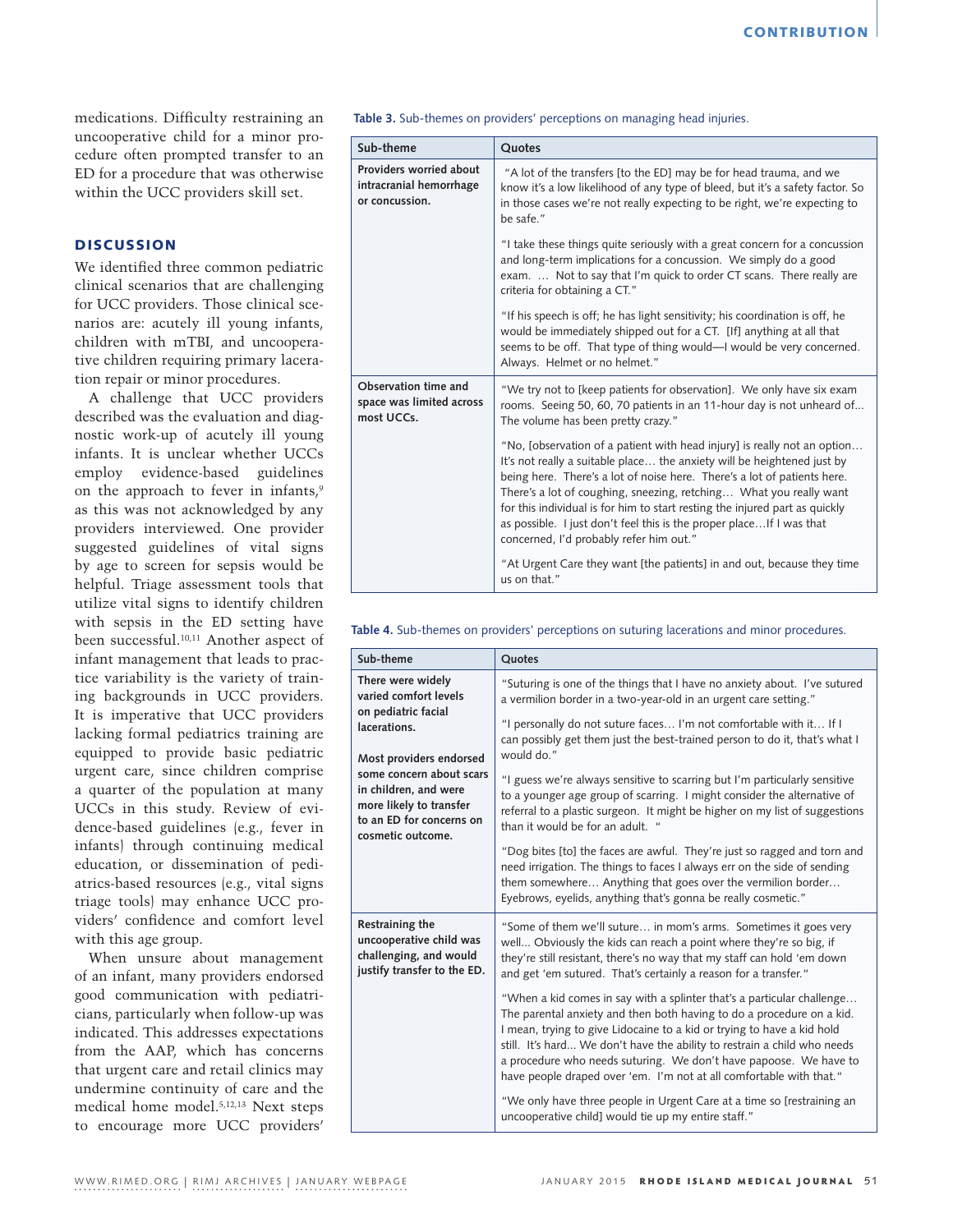medications. Difficulty restraining an uncooperative child for a minor procedure often prompted transfer to an ED for a procedure that was otherwise within the UCC providers skill set.

# **DISCUSSION**

We identified three common pediatric clinical scenarios that are challenging for UCC providers. Those clinical scenarios are: acutely ill young infants, children with mTBI, and uncooperative children requiring primary laceration repair or minor procedures.

A challenge that UCC providers described was the evaluation and diagnostic work-up of acutely ill young infants. It is unclear whether UCCs employ evidence-based guidelines on the approach to fever in infants,<sup>9</sup> as this was not acknowledged by any providers interviewed. One provider suggested guidelines of vital signs by age to screen for sepsis would be helpful. Triage assessment tools that utilize vital signs to identify children with sepsis in the ED setting have been successful.10,11 Another aspect of infant management that leads to practice variability is the variety of training backgrounds in UCC providers. It is imperative that UCC providers lacking formal pediatrics training are equipped to provide basic pediatric urgent care, since children comprise a quarter of the population at many UCCs in this study. Review of evidence-based guidelines (e.g., fever in infants) through continuing medical education, or dissemination of pediatrics-based resources (e.g., vital signs triage tools) may enhance UCC providers' confidence and comfort level with this age group.

When unsure about management of an infant, many providers endorsed good communication with pediatricians, particularly when follow-up was indicated. This addresses expectations from the AAP, which has concerns that urgent care and retail clinics may undermine continuity of care and the medical home model.5,12,13 Next steps to encourage more UCC providers'

**Table 3.** Sub-themes on providers' perceptions on managing head injuries.

| Sub-theme                                                            | Quotes                                                                                                                                                                                                                                                                                                                                                                                                                                                                                                   |
|----------------------------------------------------------------------|----------------------------------------------------------------------------------------------------------------------------------------------------------------------------------------------------------------------------------------------------------------------------------------------------------------------------------------------------------------------------------------------------------------------------------------------------------------------------------------------------------|
| Providers worried about<br>intracranial hemorrhage<br>or concussion. | "A lot of the transfers [to the ED] may be for head trauma, and we<br>know it's a low likelihood of any type of bleed, but it's a safety factor. So<br>in those cases we're not really expecting to be right, we're expecting to<br>be safe."                                                                                                                                                                                                                                                            |
|                                                                      | "I take these things quite seriously with a great concern for a concussion<br>and long-term implications for a concussion. We simply do a good<br>exam.  Not to say that I'm quick to order CT scans. There really are<br>criteria for obtaining a CT."                                                                                                                                                                                                                                                  |
|                                                                      | "If his speech is off; he has light sensitivity; his coordination is off, he<br>would be immediately shipped out for a CT. [If] anything at all that<br>seems to be off. That type of thing would-I would be very concerned.<br>Always. Helmet or no helmet."                                                                                                                                                                                                                                            |
| Observation time and<br>space was limited across<br>most UCCs.       | "We try not to [keep patients for observation]. We only have six exam<br>rooms. Seeing 50, 60, 70 patients in an 11-hour day is not unheard of<br>The volume has been pretty crazy."                                                                                                                                                                                                                                                                                                                     |
|                                                                      | "No, [observation of a patient with head injury] is really not an option<br>It's not really a suitable place the anxiety will be heightened just by<br>being here. There's a lot of noise here. There's a lot of patients here.<br>There's a lot of coughing, sneezing, retching What you really want<br>for this individual is for him to start resting the injured part as quickly<br>as possible. I just don't feel this is the proper place If I was that<br>concerned, I'd probably refer him out." |
|                                                                      | "At Urgent Care they want [the patients] in and out, because they time<br>us on that."                                                                                                                                                                                                                                                                                                                                                                                                                   |

**Table 4.** Sub-themes on providers' perceptions on suturing lacerations and minor procedures.

| Sub-theme                                                                                                                                                                | Quotes                                                                                                                                                                                                                                                                                                                                                                                                                                            |
|--------------------------------------------------------------------------------------------------------------------------------------------------------------------------|---------------------------------------------------------------------------------------------------------------------------------------------------------------------------------------------------------------------------------------------------------------------------------------------------------------------------------------------------------------------------------------------------------------------------------------------------|
| There were widely<br>varied comfort levels<br>on pediatric facial                                                                                                        | "Suturing is one of the things that I have no anxiety about. I've sutured<br>a vermilion border in a two-year-old in an urgent care setting."                                                                                                                                                                                                                                                                                                     |
| lacerations.<br>Most providers endorsed<br>some concern about scars<br>in children, and were<br>more likely to transfer<br>to an ED for concerns on<br>cosmetic outcome. | "I personally do not suture faces I'm not comfortable with it If I<br>can possibly get them just the best-trained person to do it, that's what I<br>would do."                                                                                                                                                                                                                                                                                    |
|                                                                                                                                                                          | "I guess we're always sensitive to scarring but I'm particularly sensitive<br>to a younger age group of scarring. I might consider the alternative of<br>referral to a plastic surgeon. It might be higher on my list of suggestions<br>than it would be for an adult. "                                                                                                                                                                          |
|                                                                                                                                                                          | "Dog bites [to] the faces are awful. They're just so ragged and torn and<br>need irrigation. The things to faces I always err on the side of sending<br>them somewhere Anything that goes over the vermilion border<br>Eyebrows, eyelids, anything that's gonna be really cosmetic."                                                                                                                                                              |
| Restraining the<br>uncooperative child was<br>challenging, and would<br>justify transfer to the ED.                                                                      | "Some of them we'll suture in mom's arms. Sometimes it goes very<br>well Obviously the kids can reach a point where they're so big, if<br>they're still resistant, there's no way that my staff can hold 'em down<br>and get 'em sutured. That's certainly a reason for a transfer."                                                                                                                                                              |
|                                                                                                                                                                          | "When a kid comes in say with a splinter that's a particular challenge<br>The parental anxiety and then both having to do a procedure on a kid.<br>I mean, trying to give Lidocaine to a kid or trying to have a kid hold<br>still. It's hard We don't have the ability to restrain a child who needs<br>a procedure who needs suturing. We don't have papoose. We have to<br>have people draped over 'em. I'm not at all comfortable with that." |
|                                                                                                                                                                          | "We only have three people in Urgent Care at a time so [restraining an<br>uncooperative child] would tie up my entire staff."                                                                                                                                                                                                                                                                                                                     |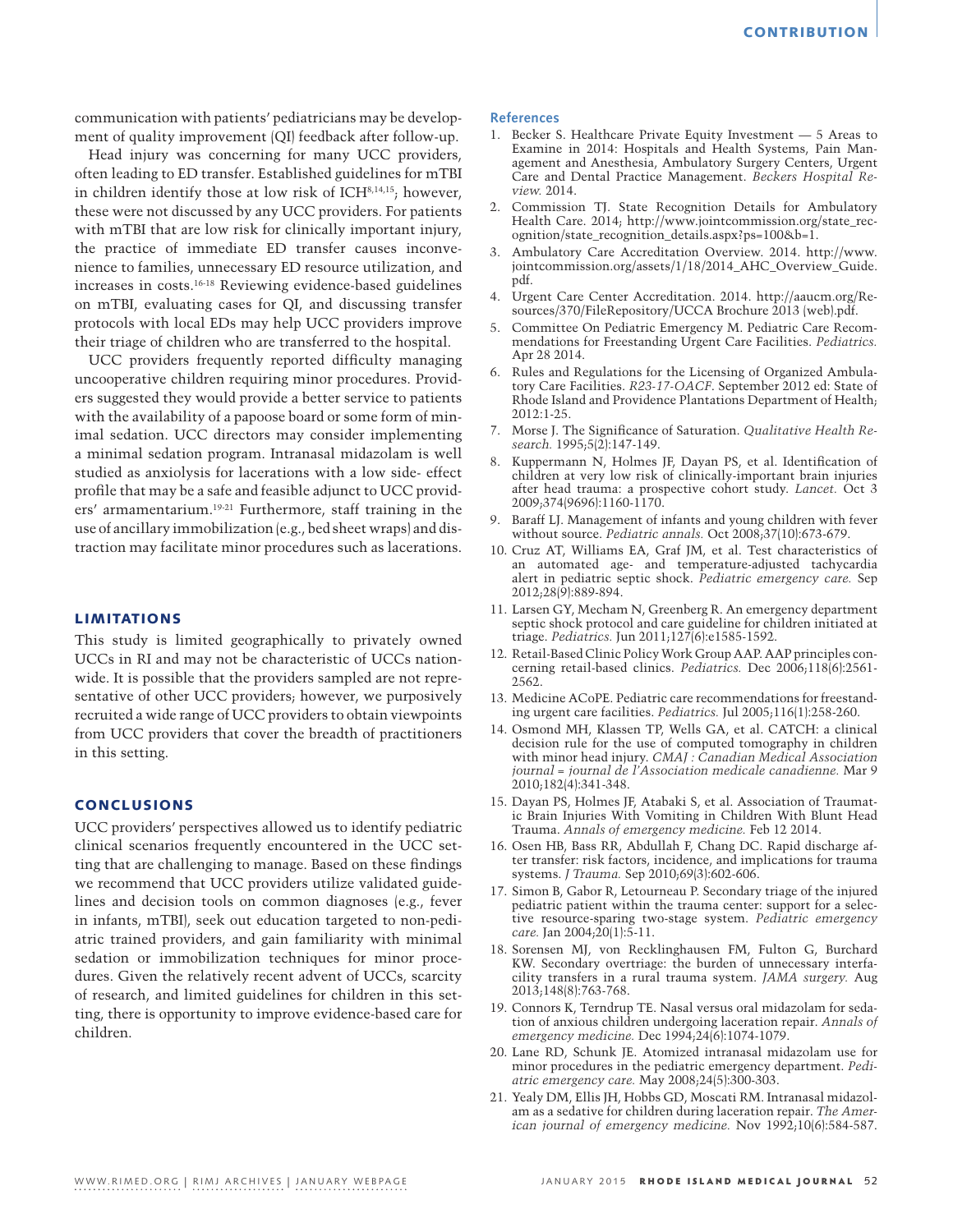communication with patients' pediatricians may be development of quality improvement (QI) feedback after follow-up.

Head injury was concerning for many UCC providers, often leading to ED transfer. Established guidelines for mTBI in children identify those at low risk of ICH8,14,15; however, these were not discussed by any UCC providers. For patients with mTBI that are low risk for clinically important injury, the practice of immediate ED transfer causes inconvenience to families, unnecessary ED resource utilization, and increases in costs.16-18 Reviewing evidence-based guidelines on mTBI, evaluating cases for QI, and discussing transfer protocols with local EDs may help UCC providers improve their triage of children who are transferred to the hospital.

UCC providers frequently reported difficulty managing uncooperative children requiring minor procedures. Providers suggested they would provide a better service to patients with the availability of a papoose board or some form of minimal sedation. UCC directors may consider implementing a minimal sedation program. Intranasal midazolam is well studied as anxiolysis for lacerations with a low side- effect profile that may be a safe and feasible adjunct to UCC providers' armamentarium.19-21 Furthermore, staff training in the use of ancillary immobilization (e.g., bed sheet wraps) and distraction may facilitate minor procedures such as lacerations.

### LIMITATIONS

This study is limited geographically to privately owned UCCs in RI and may not be characteristic of UCCs nationwide. It is possible that the providers sampled are not representative of other UCC providers; however, we purposively recruited a wide range of UCC providers to obtain viewpoints from UCC providers that cover the breadth of practitioners in this setting.

### CONCLUSIONS

UCC providers' perspectives allowed us to identify pediatric clinical scenarios frequently encountered in the UCC setting that are challenging to manage. Based on these findings we recommend that UCC providers utilize validated guidelines and decision tools on common diagnoses (e.g., fever in infants, mTBI), seek out education targeted to non-pediatric trained providers, and gain familiarity with minimal sedation or immobilization techniques for minor procedures. Given the relatively recent advent of UCCs, scarcity of research, and limited guidelines for children in this setting, there is opportunity to improve evidence-based care for children.

#### **References**

- 1. Becker S. Healthcare Private Equity Investment 5 Areas to Examine in 2014: Hospitals and Health Systems, Pain Management and Anesthesia, Ambulatory Surgery Centers, Urgent Care and Dental Practice Management. *Beckers Hospital Review.* 2014.
- 2. Commission TJ. State Recognition Details for Ambulatory Health Care. 2014; http://www.jointcommission.org/state\_recognition/state\_recognition\_details.aspx?ps=100&b=1.
- 3. Ambulatory Care Accreditation Overview. 2014. http://www. jointcommission.org/assets/1/18/2014\_AHC\_Overview\_Guide. pdf.
- 4. Urgent Care Center Accreditation. 2014. http://aaucm.org/Resources/370/FileRepository/UCCA Brochure 2013 (web).pdf.
- 5. Committee On Pediatric Emergency M. Pediatric Care Recommendations for Freestanding Urgent Care Facilities. *Pediatrics.*  Apr 28 2014.
- 6. Rules and Regulations for the Licensing of Organized Ambulatory Care Facilities. *R23-17-OACF*. September 2012 ed: State of Rhode Island and Providence Plantations Department of Health; 2012:1-25.
- 7. Morse J. The Significance of Saturation. *Qualitative Health Research.* 1995;5(2):147-149.
- 8. Kuppermann N, Holmes JF, Dayan PS, et al. Identification of children at very low risk of clinically-important brain injuries after head trauma: a prospective cohort study. *Lancet.* Oct 3 2009;374(9696):1160-1170.
- 9. Baraff LJ. Management of infants and young children with fever without source. *Pediatric annals.* Oct 2008;37(10):673-679.
- 10. Cruz AT, Williams EA, Graf JM, et al. Test characteristics of an automated age- and temperature-adjusted tachycardia alert in pediatric septic shock. *Pediatric emergency care.* Sep 2012;28(9):889-894.
- 11. Larsen GY, Mecham N, Greenberg R. An emergency department septic shock protocol and care guideline for children initiated at triage. *Pediatrics.* Jun 2011;127(6):e1585-1592.
- 12. Retail-Based Clinic Policy Work Group AAP. AAP principles concerning retail-based clinics. *Pediatrics.* Dec 2006;118(6):2561- 2562.
- 13. Medicine ACoPE. Pediatric care recommendations for freestanding urgent care facilities. *Pediatrics.* Jul 2005;116(1):258-260.
- 14. Osmond MH, Klassen TP, Wells GA, et al. CATCH: a clinical decision rule for the use of computed tomography in children with minor head injury. *CMAJ : Canadian Medical Association journal = journal de l'Association medicale canadienne.* Mar 9 2010;182(4):341-348.
- 15. Dayan PS, Holmes JF, Atabaki S, et al. Association of Traumatic Brain Injuries With Vomiting in Children With Blunt Head Trauma. *Annals of emergency medicine.* Feb 12 2014.
- 16. Osen HB, Bass RR, Abdullah F, Chang DC. Rapid discharge after transfer: risk factors, incidence, and implications for trauma systems. *J Trauma.* Sep 2010;69(3):602-606.
- 17. Simon B, Gabor R, Letourneau P. Secondary triage of the injured pediatric patient within the trauma center: support for a selective resource-sparing two-stage system. *Pediatric emergency care.* Jan 2004;20(1):5-11.
- 18. Sorensen MJ, von Recklinghausen FM, Fulton G, Burchard KW. Secondary overtriage: the burden of unnecessary interfacility transfers in a rural trauma system. *JAMA surgery.* Aug 2013;148(8):763-768.
- 19. Connors K, Terndrup TE. Nasal versus oral midazolam for sedation of anxious children undergoing laceration repair. *Annals of emergency medicine.* Dec 1994;24(6):1074-1079.
- 20. Lane RD, Schunk JE. Atomized intranasal midazolam use for minor procedures in the pediatric emergency department. *Pediatric emergency care.* May 2008;24(5):300-303.
- 21. Yealy DM, Ellis JH, Hobbs GD, Moscati RM. Intranasal midazolam as a sedative for children during laceration repair. *The American journal of emergency medicine.* Nov 1992;10(6):584-587.